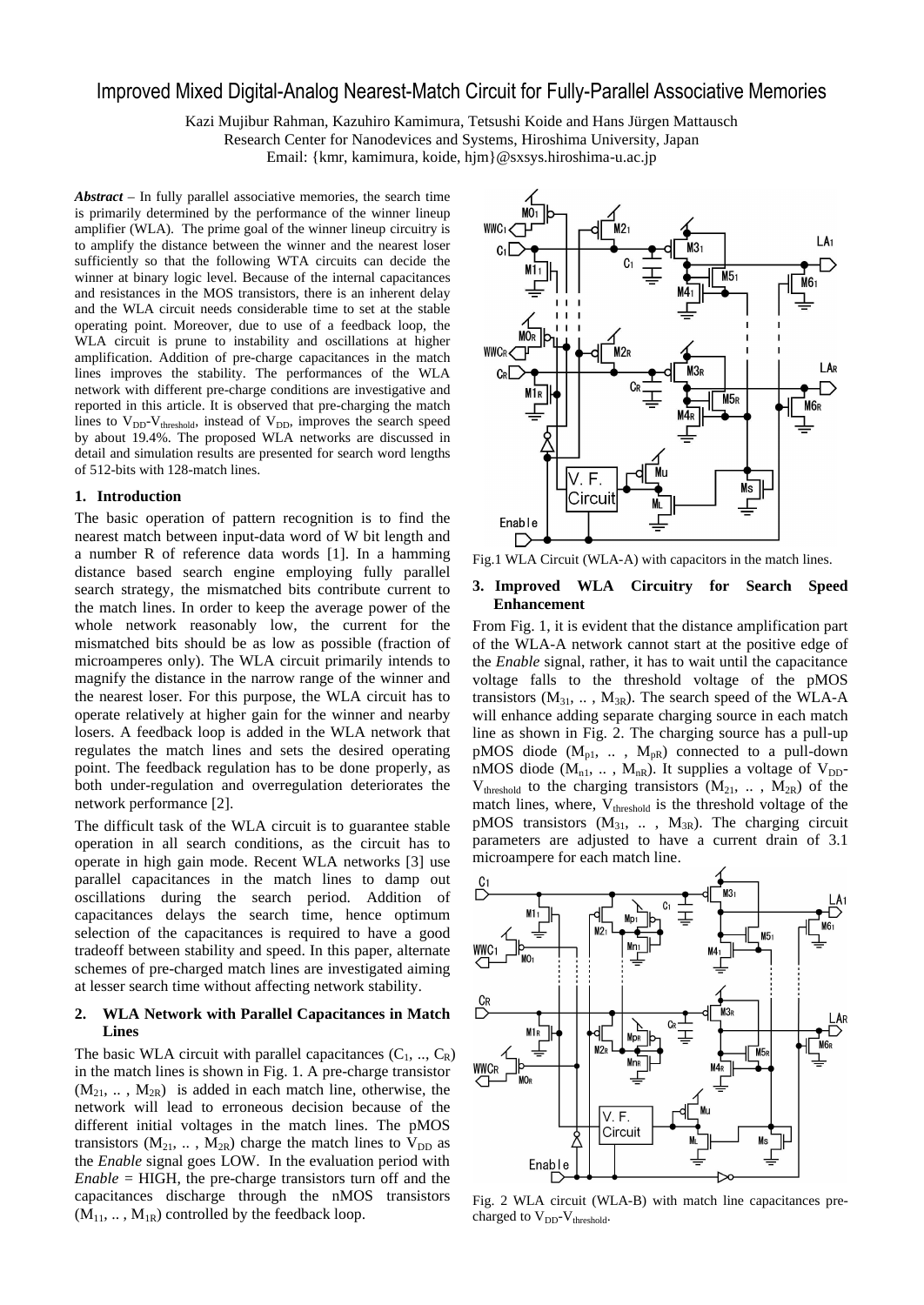# Improved Mixed Digital-Analog Nearest-Match Circuit for Fully-Parallel Associative Memories

Kazi Mujibur Rahman, Kazuhiro Kamimura, Tetsushi Koide and Hans Jürgen Mattausch Research Center for Nanodevices and Systems, Hiroshima University, Japan Email: {kmr, kamimura, koide, hjm}@sxsys.hiroshima-u.ac.jp

*Abstract* – In fully parallel associative memories, the search time is primarily determined by the performance of the winner lineup amplifier (WLA). The prime goal of the winner lineup circuitry is to amplify the distance between the winner and the nearest loser sufficiently so that the following WTA circuits can decide the winner at binary logic level. Because of the internal capacitances and resistances in the MOS transistors, there is an inherent delay and the WLA circuit needs considerable time to set at the stable operating point. Moreover, due to use of a feedback loop, the WLA circuit is prune to instability and oscillations at higher amplification. Addition of pre-charge capacitances in the match lines improves the stability. The performances of the WLA network with different pre-charge conditions are investigative and reported in this article. It is observed that pre-charging the match lines to  $V_{DD}$ - $V_{threshold}$ , instead of  $V_{DD}$ , improves the search speed by about 19.4%. The proposed WLA networks are discussed in detail and simulation results are presented for search word lengths of 512-bits with 128-match lines.

#### **1. Introduction**

The basic operation of pattern recognition is to find the nearest match between input-data word of W bit length and a number R of reference data words [1]. In a hamming distance based search engine employing fully parallel search strategy, the mismatched bits contribute current to the match lines. In order to keep the average power of the whole network reasonably low, the current for the mismatched bits should be as low as possible (fraction of microamperes only). The WLA circuit primarily intends to magnify the distance in the narrow range of the winner and the nearest loser. For this purpose, the WLA circuit has to operate relatively at higher gain for the winner and nearby losers. A feedback loop is added in the WLA network that regulates the match lines and sets the desired operating point. The feedback regulation has to be done properly, as both under-regulation and overregulation deteriorates the network performance [2].

The difficult task of the WLA circuit is to guarantee stable operation in all search conditions, as the circuit has to operate in high gain mode. Recent WLA networks [3] use parallel capacitances in the match lines to damp out oscillations during the search period. Addition of capacitances delays the search time, hence optimum selection of the capacitances is required to have a good tradeoff between stability and speed. In this paper, alternate schemes of pre-charged match lines are investigated aiming at lesser search time without affecting network stability.

## **2. WLA Network with Parallel Capacitances in Match Lines**

The basic WLA circuit with parallel capacitances  $(C_1, ..., C_R)$ in the match lines is shown in Fig. 1. A pre-charge transistor  $(M_{21}, \ldots, M_{2R})$  is added in each match line, otherwise, the network will lead to erroneous decision because of the different initial voltages in the match lines. The pMOS transistors ( $M_{21}$ , ...,  $M_{2R}$ ) charge the match lines to  $V_{DD}$  as the *Enable* signal goes LOW. In the evaluation period with  $Enable = HIGH$ , the pre-charge transistors turn off and the capacitances discharge through the nMOS transistors  $(M_{11}, \ldots, M_{1R})$  controlled by the feedback loop.



Fig.1 WLA Circuit (WLA-A) with capacitors in the match lines.

## **3. Improved WLA Circuitry for Search Speed Enhancement**

From Fig. 1, it is evident that the distance amplification part of the WLA-A network cannot start at the positive edge of the *Enable* signal, rather, it has to wait until the capacitance voltage falls to the threshold voltage of the pMOS transistors  $(M_{31}, \ldots, M_{3R})$ . The search speed of the WLA-A will enhance adding separate charging source in each match line as shown in Fig. 2. The charging source has a pull-up pMOS diode  $(M_{p1}, \ldots, M_{pR})$  connected to a pull-down nMOS diode ( $M_{n1}$ , ...,  $M_{nR}$ ). It supplies a voltage of  $V_{DD}$ - $V_{threshold}$  to the charging transistors  $(M_{21}, \ldots, M_{2R})$  of the match lines, where, V<sub>threshold</sub> is the threshold voltage of the pMOS transistors  $(M_{31}, ... , M_{3R})$ . The charging circuit parameters are adjusted to have a current drain of 3.1 microampere for each match line.



Fig. 2 WLA circuit (WLA-B) with match line capacitances precharged to  $V_{DD}$ - $V_{threshold}$ .